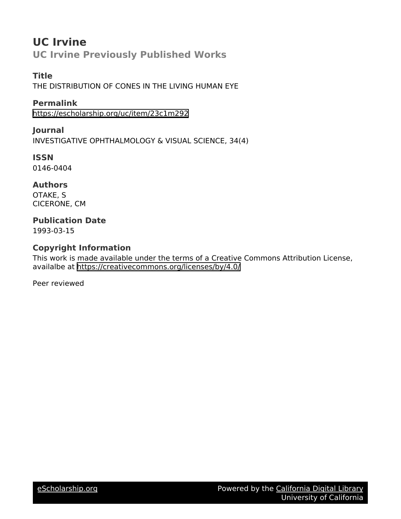## **UC Irvine UC Irvine Previously Published Works**

**Title** THE DISTRIBUTION OF CONES IN THE LIVING HUMAN EYE

**Permalink** <https://escholarship.org/uc/item/23c1m292>

**Journal** INVESTIGATIVE OPHTHALMOLOGY & VISUAL SCIENCE, 34(4)

**ISSN** 0146-0404

**Authors** OTAKE, S CICERONE, CM

## **Publication Date**

1993-03-15

## **Copyright Information**

This work is made available under the terms of a Creative Commons Attribution License, availalbe at <https://creativecommons.org/licenses/by/4.0/>

Peer reviewed